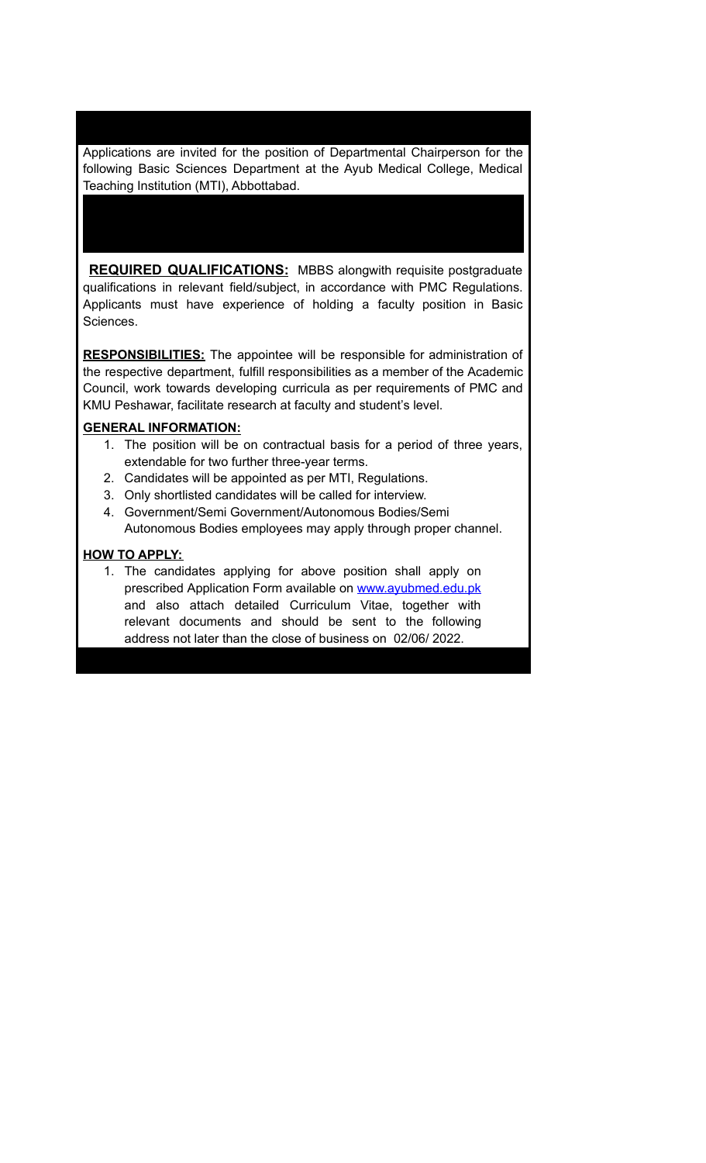Applications are invited for the position of Departmental Chairperson for the following Basic Sciences Department at the Ayub Medical College, Medical Teaching Institution (MTI), Abbottabad.

**REQUIRED QUALIFICATIONS:** MBBS alongwith requisite postgraduate qualifications in relevant field/subject, in accordance with PMC Regulations. Applicants must have experience of holding a faculty position in Basic Sciences.

**RESPONSIBILITIES:** The appointee will be responsible for administration of the respective department, fulfill responsibilities as a member of the Academic Council, work towards developing curricula as per requirements of PMC and KMU Peshawar, facilitate research at faculty and student's level.

## **GENERAL INFORMATION:**

- 1. The position will be on contractual basis for a period of three years, extendable for two further three-year terms.
- 2. Candidates will be appointed as per MTI, Regulations.
- 3. Only shortlisted candidates will be called for interview.
- 4. Government/Semi Government/Autonomous Bodies/Semi Autonomous Bodies employees may apply through proper channel.

## **HOW TO APPLY:**

1. The candidates applying for above position shall apply on prescribed Application Form available on [www.ayubmed.edu.pk](http://www.ayubmed.edu.pk) and also attach detailed Curriculum Vitae, together with relevant documents and should be sent to the following address not later than the close of business on 02/06/ 2022.